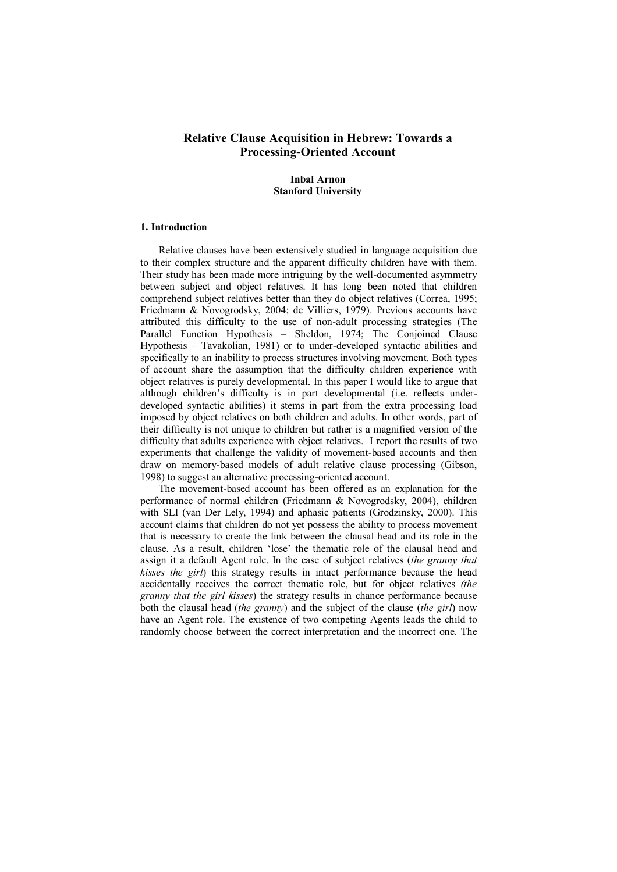# **Relative Clause Acquisition in Hebrew: Towards a Processing-Oriented Account**

# **Inbal Arnon Stanford University**

#### **1. Introduction**

Relative clauses have been extensively studied in language acquisition due to their complex structure and the apparent difficulty children have with them. Their study has been made more intriguing by the well-documented asymmetry between subject and object relatives. It has long been noted that children comprehend subject relatives better than they do object relatives (Correa, 1995; Friedmann & Novogrodsky, 2004; de Villiers, 1979). Previous accounts have attributed this difficulty to the use of non-adult processing strategies (The Parallel Function Hypothesis – Sheldon, 1974; The Conjoined Clause Hypothesis  $-$  Tavakolian, 1981) or to under-developed syntactic abilities and specifically to an inability to process structures involving movement. Both types of account share the assumption that the difficulty children experience with object relatives is purely developmental. In this paper I would like to argue that although children's difficulty is in part developmental (i.e. reflects underdeveloped syntactic abilities) it stems in part from the extra processing load imposed by object relatives on both children and adults. In other words, part of their difficulty is not unique to children but rather is a magnified version of the difficulty that adults experience with object relatives. I report the results of two experiments that challenge the validity of movement-based accounts and then draw on memory-based models of adult relative clause processing (Gibson, 1998) to suggest an alternative processing-oriented account.

The movement-based account has been offered as an explanation for the performance of normal children (Friedmann & Novogrodsky, 2004), children with SLI (van Der Lely, 1994) and aphasic patients (Grodzinsky, 2000). This account claims that children do not yet possess the ability to process movement that is necessary to create the link between the clausal head and its role in the clause. As a result, children 'lose' the thematic role of the clausal head and assign it a default Agent role. In the case of subject relatives (*the granny that kisses the girl*) this strategy results in intact performance because the head accidentally receives the correct thematic role, but for object relatives *(the granny that the girl kisses*) the strategy results in chance performance because both the clausal head (*the granny*) and the subject of the clause (*the girl*) now have an Agent role. The existence of two competing Agents leads the child to randomly choose between the correct interpretation and the incorrect one. The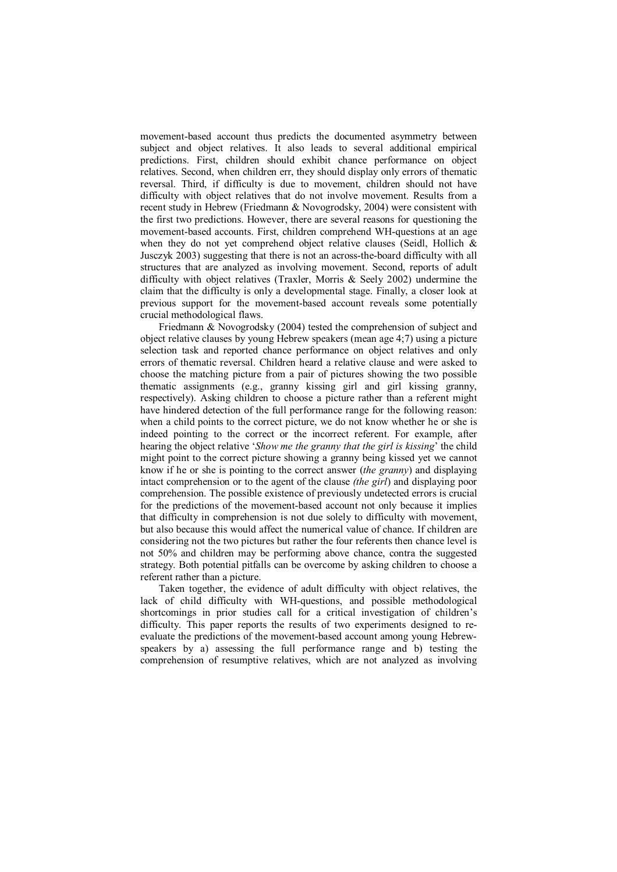movement-based account thus predicts the documented asymmetry between subject and object relatives. It also leads to several additional empirical predictions. First, children should exhibit chance performance on object relatives. Second, when children err, they should display only errors of thematic reversal. Third, if difficulty is due to movement, children should not have difficulty with object relatives that do not involve movement. Results from a recent study in Hebrew (Friedmann & Novogrodsky, 2004) were consistent with the first two predictions. However, there are several reasons for questioning the movement-based accounts. First, children comprehend WH-questions at an age when they do not yet comprehend object relative clauses (Seidl, Hollich & Jusczyk 2003) suggesting that there is not an across-the-board difficulty with all structures that are analyzed as involving movement. Second, reports of adult difficulty with object relatives (Traxler, Morris & Seely 2002) undermine the claim that the difficulty is only a developmental stage. Finally, a closer look at previous support for the movement-based account reveals some potentially crucial methodological flaws.

Friedmann & Novogrodsky (2004) tested the comprehension of subject and object relative clauses by young Hebrew speakers (mean age 4;7) using a picture selection task and reported chance performance on object relatives and only errors of thematic reversal. Children heard a relative clause and were asked to choose the matching picture from a pair of pictures showing the two possible thematic assignments (e.g., granny kissing girl and girl kissing granny, respectively). Asking children to choose a picture rather than a referent might have hindered detection of the full performance range for the following reason: when a child points to the correct picture, we do not know whether he or she is indeed pointing to the correct or the incorrect referent. For example, after hearing the object relative 'Show me the granny that the girl is kissing' the child might point to the correct picture showing a granny being kissed yet we cannot know if he or she is pointing to the correct answer (*the granny*) and displaying intact comprehension or to the agent of the clause *(the girl*) and displaying poor comprehension. The possible existence of previously undetected errors is crucial for the predictions of the movement-based account not only because it implies that difficulty in comprehension is not due solely to difficulty with movement, but also because this would affect the numerical value of chance. If children are considering not the two pictures but rather the four referents then chance level is not 50% and children may be performing above chance, contra the suggested strategy. Both potential pitfalls can be overcome by asking children to choose a referent rather than a picture.

Taken together, the evidence of adult difficulty with object relatives, the lack of child difficulty with WH-questions, and possible methodological shortcomings in prior studies call for a critical investigation of children's difficulty. This paper reports the results of two experiments designed to reevaluate the predictions of the movement-based account among young Hebrewspeakers by a) assessing the full performance range and b) testing the comprehension of resumptive relatives, which are not analyzed as involving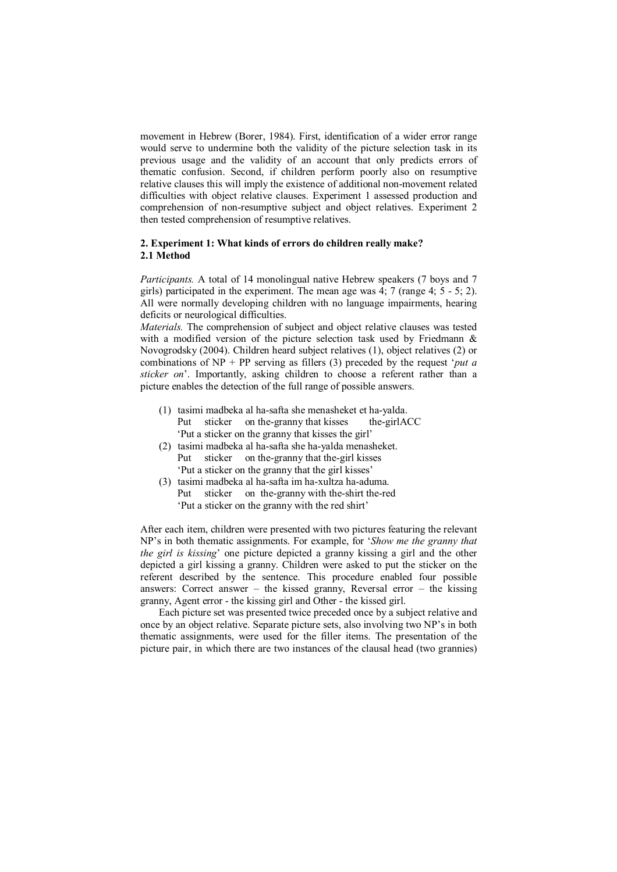movement in Hebrew (Borer, 1984). First, identification of a wider error range would serve to undermine both the validity of the picture selection task in its previous usage and the validity of an account that only predicts errors of thematic confusion. Second, if children perform poorly also on resumptive relative clauses this will imply the existence of additional non-movement related difficulties with object relative clauses. Experiment 1 assessed production and comprehension of non-resumptive subject and object relatives. Experiment 2 then tested comprehension of resumptive relatives.

### **2. Experiment 1: What kinds of errors do children really make? 2.1 Method**

*Participants.* A total of 14 monolingual native Hebrew speakers (7 boys and 7 girls) participated in the experiment. The mean age was 4; 7 (range 4; 5 - 5; 2). All were normally developing children with no language impairments, hearing deficits or neurological difficulties.

*Materials.* The comprehension of subject and object relative clauses was tested with a modified version of the picture selection task used by Friedmann & Novogrodsky (2004). Children heard subject relatives (1), object relatives (2) or combinations of  $NP + PP$  serving as fillers (3) preceded by the request *'put a sticker on*<sup>2</sup>. Importantly, asking children to choose a referent rather than a picture enables the detection of the full range of possible answers.

- (1) tasimi madbeka al ha-safta she menasheket et ha-yalda. Put sticker on the-granny that kisses the-girlACC Put a sticker on the granny that kisses the girl'
- (2) tasimi madbeka al ha-safta she ha-yalda menasheket. Put sticker on the-granny that the-girl kisses Put a sticker on the granny that the girl kisses'
- (3) tasimi madbeka al ha-safta im ha-xultza ha-aduma. Put sticker on the-granny with the-shirt the-red Put a sticker on the granny with the red shirt'

After each item, children were presented with two pictures featuring the relevant NPís in both thematic assignments. For example, for ë*Show me the granny that the girl is kissing*' one picture depicted a granny kissing a girl and the other depicted a girl kissing a granny. Children were asked to put the sticker on the referent described by the sentence. This procedure enabled four possible answers: Correct answer – the kissed granny, Reversal error – the kissing granny, Agent error - the kissing girl and Other - the kissed girl.

Each picture set was presented twice preceded once by a subject relative and once by an object relative. Separate picture sets, also involving two NP's in both thematic assignments, were used for the filler items. The presentation of the picture pair, in which there are two instances of the clausal head (two grannies)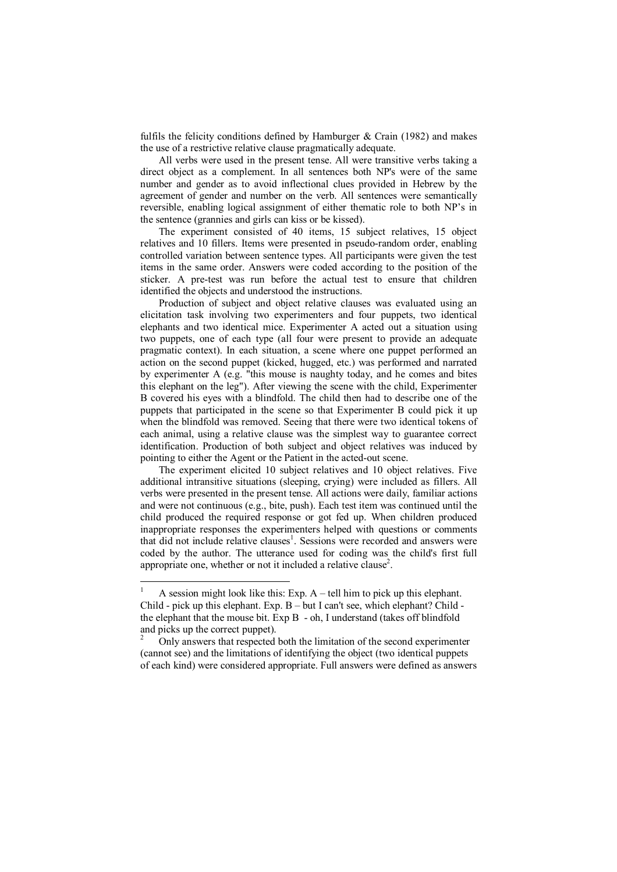fulfils the felicity conditions defined by Hamburger  $\&$  Crain (1982) and makes the use of a restrictive relative clause pragmatically adequate.

All verbs were used in the present tense. All were transitive verbs taking a direct object as a complement. In all sentences both NP's were of the same number and gender as to avoid inflectional clues provided in Hebrew by the agreement of gender and number on the verb. All sentences were semantically reversible, enabling logical assignment of either thematic role to both NP's in the sentence (grannies and girls can kiss or be kissed).

The experiment consisted of 40 items, 15 subject relatives, 15 object relatives and 10 fillers. Items were presented in pseudo-random order, enabling controlled variation between sentence types. All participants were given the test items in the same order. Answers were coded according to the position of the sticker. A pre-test was run before the actual test to ensure that children identified the objects and understood the instructions.

Production of subject and object relative clauses was evaluated using an elicitation task involving two experimenters and four puppets, two identical elephants and two identical mice. Experimenter A acted out a situation using two puppets, one of each type (all four were present to provide an adequate pragmatic context). In each situation, a scene where one puppet performed an action on the second puppet (kicked, hugged, etc.) was performed and narrated by experimenter A (e.g. "this mouse is naughty today, and he comes and bites this elephant on the leg"). After viewing the scene with the child, Experimenter B covered his eyes with a blindfold. The child then had to describe one of the puppets that participated in the scene so that Experimenter B could pick it up when the blindfold was removed. Seeing that there were two identical tokens of each animal, using a relative clause was the simplest way to guarantee correct identification. Production of both subject and object relatives was induced by pointing to either the Agent or the Patient in the acted-out scene.

The experiment elicited 10 subject relatives and 10 object relatives. Five additional intransitive situations (sleeping, crying) were included as fillers. All verbs were presented in the present tense. All actions were daily, familiar actions and were not continuous (e.g., bite, push). Each test item was continued until the child produced the required response or got fed up. When children produced inappropriate responses the experimenters helped with questions or comments that did not include relative clauses<sup>1</sup>. Sessions were recorded and answers were coded by the author. The utterance used for coding was the child's first full appropriate one, whether or not it included a relative clause<sup>2</sup>.

 $\overline{a}$ 

<sup>1</sup> A session might look like this: Exp.  $A - tell$  him to pick up this elephant. Child - pick up this elephant. Exp. B - but I can't see, which elephant? Child the elephant that the mouse bit. Exp B - oh, I understand (takes off blindfold and picks up the correct puppet).

<sup>2</sup> Only answers that respected both the limitation of the second experimenter (cannot see) and the limitations of identifying the object (two identical puppets of each kind) were considered appropriate. Full answers were defined as answers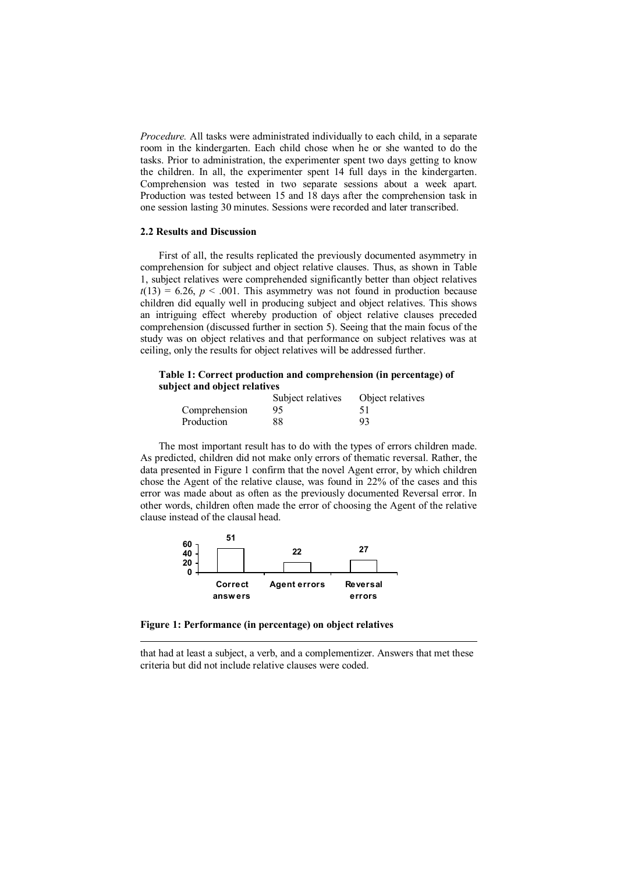*Procedure.* All tasks were administrated individually to each child, in a separate room in the kindergarten. Each child chose when he or she wanted to do the tasks. Prior to administration, the experimenter spent two days getting to know the children. In all, the experimenter spent 14 full days in the kindergarten. Comprehension was tested in two separate sessions about a week apart. Production was tested between 15 and 18 days after the comprehension task in one session lasting 30 minutes. Sessions were recorded and later transcribed.

#### **2.2 Results and Discussion**

First of all, the results replicated the previously documented asymmetry in comprehension for subject and object relative clauses. Thus, as shown in Table 1, subject relatives were comprehended significantly better than object relatives  $t(13) = 6.26$ ,  $p < .001$ . This asymmetry was not found in production because children did equally well in producing subject and object relatives. This shows an intriguing effect whereby production of object relative clauses preceded comprehension (discussed further in section 5). Seeing that the main focus of the study was on object relatives and that performance on subject relatives was at ceiling, only the results for object relatives will be addressed further.

### **Table 1: Correct production and comprehension (in percentage) of subject and object relatives**

|               | Subject relatives | Object relatives |
|---------------|-------------------|------------------|
| Comprehension | 95                | 51               |
| Production    | 88                | 93               |

 The most important result has to do with the types of errors children made. As predicted, children did not make only errors of thematic reversal. Rather, the data presented in Figure 1 confirm that the novel Agent error, by which children chose the Agent of the relative clause, was found in 22% of the cases and this error was made about as often as the previously documented Reversal error. In other words, children often made the error of choosing the Agent of the relative clause instead of the clausal head.



**Figure 1: Performance (in percentage) on object relatives** 

 $\overline{a}$ 

that had at least a subject, a verb, and a complementizer. Answers that met these criteria but did not include relative clauses were coded.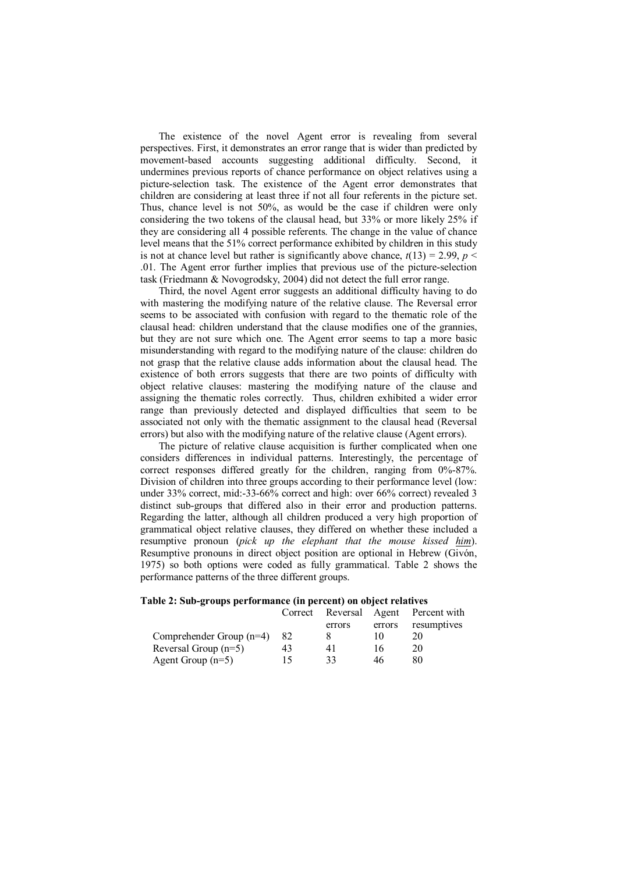The existence of the novel Agent error is revealing from several perspectives. First, it demonstrates an error range that is wider than predicted by movement-based accounts suggesting additional difficulty. Second, it undermines previous reports of chance performance on object relatives using a picture-selection task. The existence of the Agent error demonstrates that children are considering at least three if not all four referents in the picture set. Thus, chance level is not 50%, as would be the case if children were only considering the two tokens of the clausal head, but 33% or more likely 25% if they are considering all 4 possible referents. The change in the value of chance level means that the 51% correct performance exhibited by children in this study is not at chance level but rather is significantly above chance,  $t(13) = 2.99$ ,  $p <$ .01. The Agent error further implies that previous use of the picture-selection task (Friedmann & Novogrodsky, 2004) did not detect the full error range.

Third, the novel Agent error suggests an additional difficulty having to do with mastering the modifying nature of the relative clause. The Reversal error seems to be associated with confusion with regard to the thematic role of the clausal head: children understand that the clause modifies one of the grannies, but they are not sure which one. The Agent error seems to tap a more basic misunderstanding with regard to the modifying nature of the clause: children do not grasp that the relative clause adds information about the clausal head. The existence of both errors suggests that there are two points of difficulty with object relative clauses: mastering the modifying nature of the clause and assigning the thematic roles correctly. Thus, children exhibited a wider error range than previously detected and displayed difficulties that seem to be associated not only with the thematic assignment to the clausal head (Reversal errors) but also with the modifying nature of the relative clause (Agent errors).

The picture of relative clause acquisition is further complicated when one considers differences in individual patterns. Interestingly, the percentage of correct responses differed greatly for the children, ranging from 0%-87%. Division of children into three groups according to their performance level (low: under 33% correct, mid:-33-66% correct and high: over 66% correct) revealed 3 distinct sub-groups that differed also in their error and production patterns. Regarding the latter, although all children produced a very high proportion of grammatical object relative clauses, they differed on whether these included a resumptive pronoun (*pick up the elephant that the mouse kissed him*). Resumptive pronouns in direct object position are optional in Hebrew (Givón, 1975) so both options were coded as fully grammatical. Table 2 shows the performance patterns of the three different groups.

|  | Table 2: Sub-groups performance (in percent) on object relatives |  |  |
|--|------------------------------------------------------------------|--|--|
|  |                                                                  |  |  |

|                            | Correct |        |        | Reversal Agent Percent with |
|----------------------------|---------|--------|--------|-----------------------------|
|                            |         | errors | errors | resumptives                 |
| Comprehender Group $(n=4)$ | 82      |        |        |                             |
| Reversal Group $(n=5)$     | 43      | 41     | 16     | 20                          |
| Agent Group $(n=5)$        | 15      | 33     | 46     | 80                          |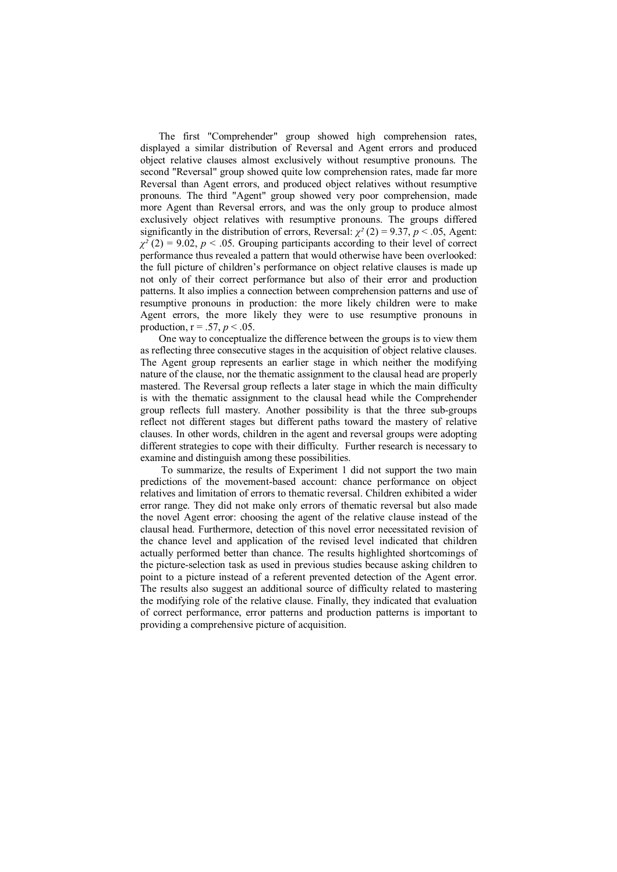The first "Comprehender" group showed high comprehension rates, displayed a similar distribution of Reversal and Agent errors and produced object relative clauses almost exclusively without resumptive pronouns. The second "Reversal" group showed quite low comprehension rates, made far more Reversal than Agent errors, and produced object relatives without resumptive pronouns. The third "Agent" group showed very poor comprehension, made more Agent than Reversal errors, and was the only group to produce almost exclusively object relatives with resumptive pronouns. The groups differed significantly in the distribution of errors, Reversal:  $\chi^2$  (2) = 9.37, *p* < .05, Agent:  $\chi^2$  (2) = 9.02, *p* < .05. Grouping participants according to their level of correct performance thus revealed a pattern that would otherwise have been overlooked: the full picture of children's performance on object relative clauses is made up not only of their correct performance but also of their error and production patterns. It also implies a connection between comprehension patterns and use of resumptive pronouns in production: the more likely children were to make Agent errors, the more likely they were to use resumptive pronouns in production,  $r = .57$ ,  $p < .05$ .

One way to conceptualize the difference between the groups is to view them as reflecting three consecutive stages in the acquisition of object relative clauses. The Agent group represents an earlier stage in which neither the modifying nature of the clause, nor the thematic assignment to the clausal head are properly mastered. The Reversal group reflects a later stage in which the main difficulty is with the thematic assignment to the clausal head while the Comprehender group reflects full mastery. Another possibility is that the three sub-groups reflect not different stages but different paths toward the mastery of relative clauses. In other words, children in the agent and reversal groups were adopting different strategies to cope with their difficulty. Further research is necessary to examine and distinguish among these possibilities.

 To summarize, the results of Experiment 1 did not support the two main predictions of the movement-based account: chance performance on object relatives and limitation of errors to thematic reversal. Children exhibited a wider error range. They did not make only errors of thematic reversal but also made the novel Agent error: choosing the agent of the relative clause instead of the clausal head. Furthermore, detection of this novel error necessitated revision of the chance level and application of the revised level indicated that children actually performed better than chance. The results highlighted shortcomings of the picture-selection task as used in previous studies because asking children to point to a picture instead of a referent prevented detection of the Agent error. The results also suggest an additional source of difficulty related to mastering the modifying role of the relative clause. Finally, they indicated that evaluation of correct performance, error patterns and production patterns is important to providing a comprehensive picture of acquisition.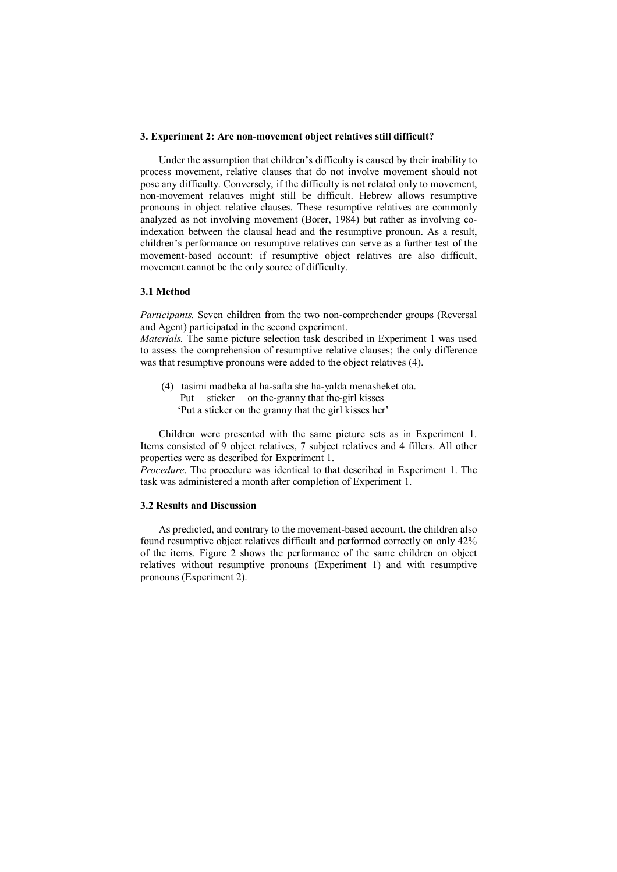### **3. Experiment 2: Are non-movement object relatives still difficult?**

Under the assumption that children's difficulty is caused by their inability to process movement, relative clauses that do not involve movement should not pose any difficulty. Conversely, if the difficulty is not related only to movement, non-movement relatives might still be difficult. Hebrew allows resumptive pronouns in object relative clauses. These resumptive relatives are commonly analyzed as not involving movement (Borer, 1984) but rather as involving coindexation between the clausal head and the resumptive pronoun. As a result, children's performance on resumptive relatives can serve as a further test of the movement-based account: if resumptive object relatives are also difficult, movement cannot be the only source of difficulty.

### **3.1 Method**

*Participants.* Seven children from the two non-comprehender groups (Reversal and Agent) participated in the second experiment.

*Materials.* The same picture selection task described in Experiment 1 was used to assess the comprehension of resumptive relative clauses; the only difference was that resumptive pronouns were added to the object relatives (4).

 (4) tasimi madbeka al ha-safta she ha-yalda menasheket ota. Put sticker on the-granny that the-girl kisses 'Put a sticker on the granny that the girl kisses her'

Children were presented with the same picture sets as in Experiment 1. Items consisted of 9 object relatives, 7 subject relatives and 4 fillers. All other properties were as described for Experiment 1.

*Procedure*. The procedure was identical to that described in Experiment 1. The task was administered a month after completion of Experiment 1.

# **3.2 Results and Discussion**

As predicted, and contrary to the movement-based account, the children also found resumptive object relatives difficult and performed correctly on only 42% of the items. Figure 2 shows the performance of the same children on object relatives without resumptive pronouns (Experiment 1) and with resumptive pronouns (Experiment 2).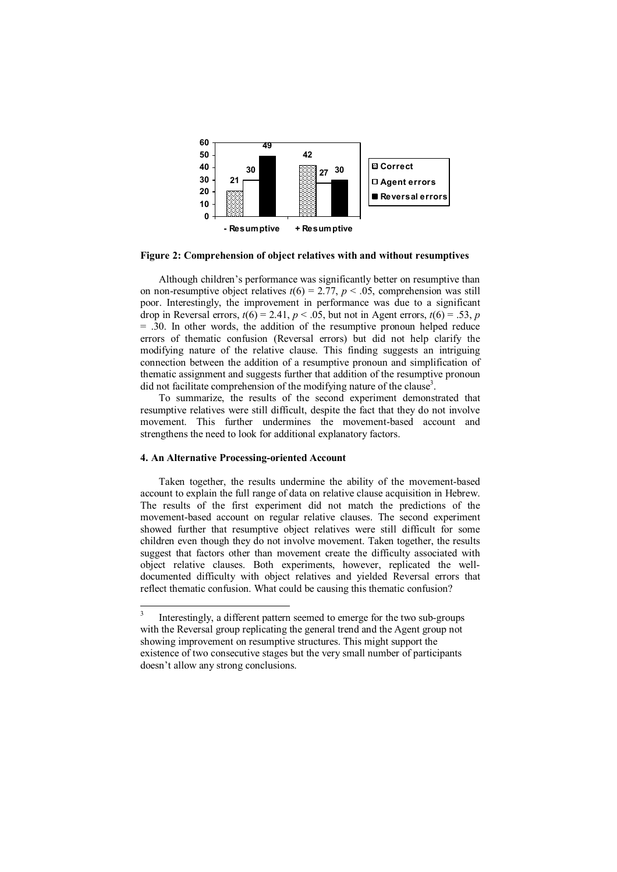

**Figure 2: Comprehension of object relatives with and without resumptives** 

Although children's performance was significantly better on resumptive than on non-resumptive object relatives  $t(6) = 2.77$ ,  $p < .05$ , comprehension was still poor. Interestingly, the improvement in performance was due to a significant drop in Reversal errors,  $t(6) = 2.41$ ,  $p < .05$ , but not in Agent errors,  $t(6) = .53$ ,  $p$ = .30. In other words, the addition of the resumptive pronoun helped reduce errors of thematic confusion (Reversal errors) but did not help clarify the modifying nature of the relative clause. This finding suggests an intriguing connection between the addition of a resumptive pronoun and simplification of thematic assignment and suggests further that addition of the resumptive pronoun did not facilitate comprehension of the modifying nature of the clause<sup>3</sup>.

To summarize, the results of the second experiment demonstrated that resumptive relatives were still difficult, despite the fact that they do not involve movement. This further undermines the movement-based account and strengthens the need to look for additional explanatory factors.

# **4. An Alternative Processing-oriented Account**

Taken together, the results undermine the ability of the movement-based account to explain the full range of data on relative clause acquisition in Hebrew. The results of the first experiment did not match the predictions of the movement-based account on regular relative clauses. The second experiment showed further that resumptive object relatives were still difficult for some children even though they do not involve movement. Taken together, the results suggest that factors other than movement create the difficulty associated with object relative clauses. Both experiments, however, replicated the welldocumented difficulty with object relatives and yielded Reversal errors that reflect thematic confusion. What could be causing this thematic confusion?

<sup>&</sup>lt;sup>2</sup><br>3 Interestingly, a different pattern seemed to emerge for the two sub-groups with the Reversal group replicating the general trend and the Agent group not showing improvement on resumptive structures. This might support the existence of two consecutive stages but the very small number of participants doesn't allow any strong conclusions.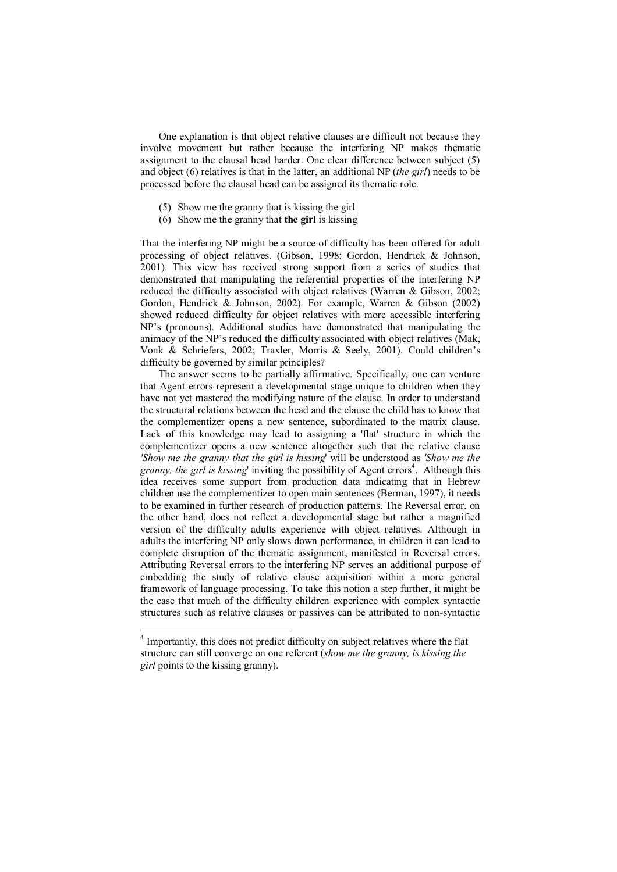One explanation is that object relative clauses are difficult not because they involve movement but rather because the interfering NP makes thematic assignment to the clausal head harder. One clear difference between subject (5) and object (6) relatives is that in the latter, an additional NP (*the girl*) needs to be processed before the clausal head can be assigned its thematic role.

- (5) Show me the granny that is kissing the girl
- (6) Show me the granny that **the girl** is kissing

That the interfering NP might be a source of difficulty has been offered for adult processing of object relatives. (Gibson, 1998; Gordon, Hendrick & Johnson, 2001). This view has received strong support from a series of studies that demonstrated that manipulating the referential properties of the interfering NP reduced the difficulty associated with object relatives (Warren & Gibson, 2002; Gordon, Hendrick & Johnson, 2002). For example, Warren & Gibson (2002) showed reduced difficulty for object relatives with more accessible interfering NP's (pronouns). Additional studies have demonstrated that manipulating the animacy of the NP's reduced the difficulty associated with object relatives (Mak, Vonk & Schriefers, 2002; Traxler, Morris & Seely, 2001). Could children's difficulty be governed by similar principles?

 The answer seems to be partially affirmative. Specifically, one can venture that Agent errors represent a developmental stage unique to children when they have not yet mastered the modifying nature of the clause. In order to understand the structural relations between the head and the clause the child has to know that the complementizer opens a new sentence, subordinated to the matrix clause. Lack of this knowledge may lead to assigning a 'flat' structure in which the complementizer opens a new sentence altogether such that the relative clause *'Show me the granny that the girl is kissing*' will be understood as *'Show me the*  granny, the girl is kissing' inviting the possibility of Agent errors<sup>4</sup>. Although this idea receives some support from production data indicating that in Hebrew children use the complementizer to open main sentences (Berman, 1997), it needs to be examined in further research of production patterns. The Reversal error, on the other hand, does not reflect a developmental stage but rather a magnified version of the difficulty adults experience with object relatives. Although in adults the interfering NP only slows down performance, in children it can lead to complete disruption of the thematic assignment, manifested in Reversal errors. Attributing Reversal errors to the interfering NP serves an additional purpose of embedding the study of relative clause acquisition within a more general framework of language processing. To take this notion a step further, it might be the case that much of the difficulty children experience with complex syntactic structures such as relative clauses or passives can be attributed to non-syntactic

 4 Importantly, this does not predict difficulty on subject relatives where the flat structure can still converge on one referent (*show me the granny, is kissing the girl* points to the kissing granny).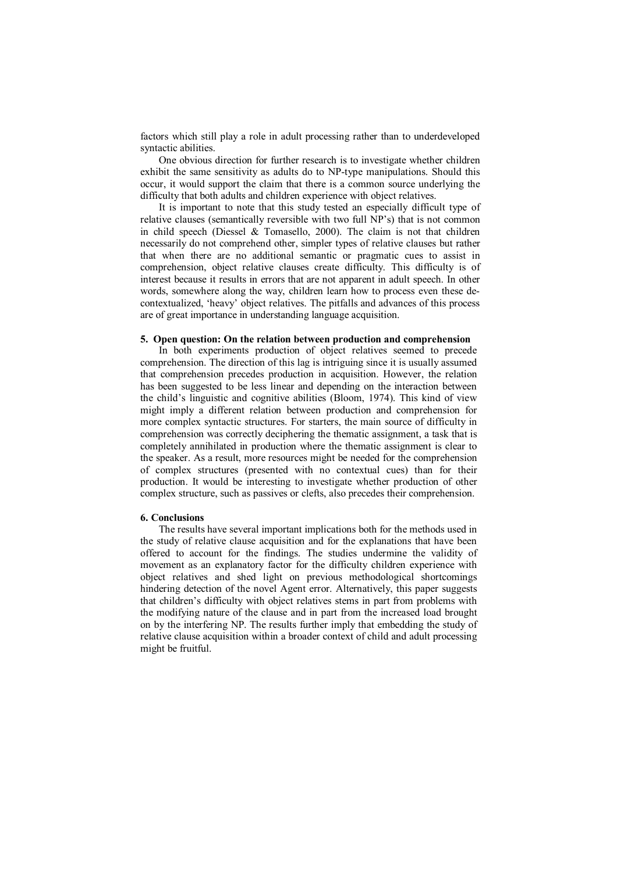factors which still play a role in adult processing rather than to underdeveloped syntactic abilities.

 One obvious direction for further research is to investigate whether children exhibit the same sensitivity as adults do to NP-type manipulations. Should this occur, it would support the claim that there is a common source underlying the difficulty that both adults and children experience with object relatives.

It is important to note that this study tested an especially difficult type of relative clauses (semantically reversible with two full NP's) that is not common in child speech (Diessel  $&$  Tomasello, 2000). The claim is not that children necessarily do not comprehend other, simpler types of relative clauses but rather that when there are no additional semantic or pragmatic cues to assist in comprehension, object relative clauses create difficulty. This difficulty is of interest because it results in errors that are not apparent in adult speech. In other words, somewhere along the way, children learn how to process even these decontextualized, 'heavy' object relatives. The pitfalls and advances of this process are of great importance in understanding language acquisition.

### **5. Open question: On the relation between production and comprehension**

In both experiments production of object relatives seemed to precede comprehension. The direction of this lag is intriguing since it is usually assumed that comprehension precedes production in acquisition. However, the relation has been suggested to be less linear and depending on the interaction between the child's linguistic and cognitive abilities (Bloom, 1974). This kind of view might imply a different relation between production and comprehension for more complex syntactic structures. For starters, the main source of difficulty in comprehension was correctly deciphering the thematic assignment, a task that is completely annihilated in production where the thematic assignment is clear to the speaker. As a result, more resources might be needed for the comprehension of complex structures (presented with no contextual cues) than for their production. It would be interesting to investigate whether production of other complex structure, such as passives or clefts, also precedes their comprehension.

# **6. Conclusions**

The results have several important implications both for the methods used in the study of relative clause acquisition and for the explanations that have been offered to account for the findings. The studies undermine the validity of movement as an explanatory factor for the difficulty children experience with object relatives and shed light on previous methodological shortcomings hindering detection of the novel Agent error. Alternatively, this paper suggests that children's difficulty with object relatives stems in part from problems with the modifying nature of the clause and in part from the increased load brought on by the interfering NP. The results further imply that embedding the study of relative clause acquisition within a broader context of child and adult processing might be fruitful.